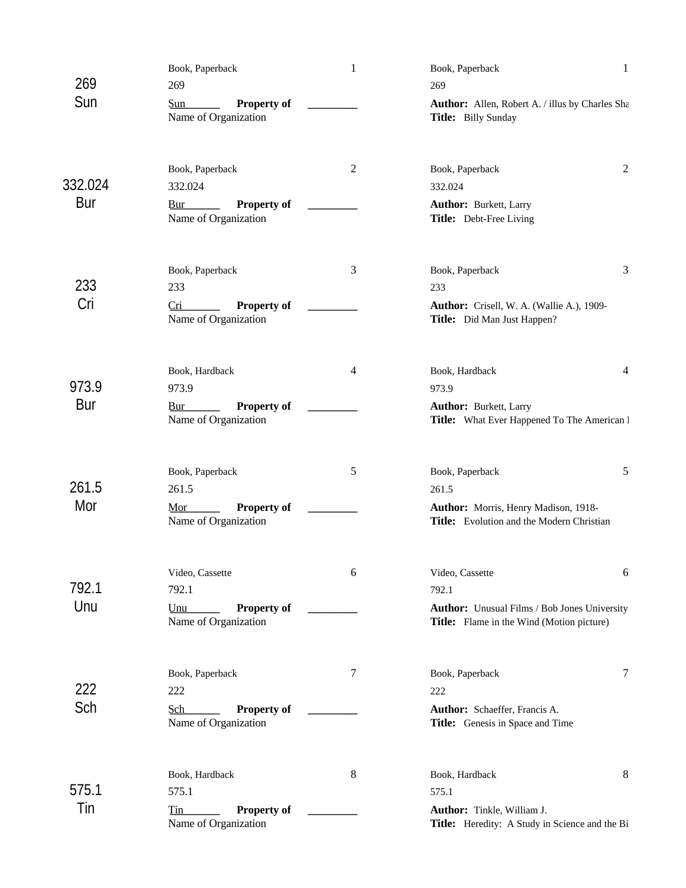|         | Book, Paperback                                   | $\mathbf{1}$   | Book, Paperback                                                                                  | $\mathbf 1$ |
|---------|---------------------------------------------------|----------------|--------------------------------------------------------------------------------------------------|-------------|
| 269     | 269                                               |                | 269                                                                                              |             |
| Sun     | <b>Property of</b><br>Sun<br>Name of Organization |                | Author: Allen, Robert A. / illus by Charles Sha<br>Title: Billy Sunday                           |             |
| 332.024 | Book, Paperback<br>332.024                        | $\overline{c}$ | Book, Paperback<br>332.024                                                                       | 2           |
| Bur     | <b>Property of</b><br>Bur<br>Name of Organization |                | Author: Burkett, Larry<br>Title: Debt-Free Living                                                |             |
| 233     | Book, Paperback<br>233                            | 3              | Book, Paperback<br>233                                                                           | 3           |
| Cri     | <b>Property of</b><br>Cri<br>Name of Organization |                | Author: Crisell, W. A. (Wallie A.), 1909-<br>Title: Did Man Just Happen?                         |             |
| 973.9   | Book, Hardback<br>973.9                           | 4              | Book, Hardback<br>973.9                                                                          | 4           |
| Bur     | <b>Property of</b><br>Bur<br>Name of Organization |                | <b>Author:</b> Burkett, Larry<br>Title: What Ever Happened To The American I                     |             |
| 261.5   | Book, Paperback<br>261.5                          | 5              | Book, Paperback                                                                                  | 5           |
| Mor     | Property of<br>Mor<br>Name of Organization        |                | 261.5<br>Author: Morris, Henry Madison, 1918-<br>Title: Evolution and the Modern Christian       |             |
| 792.1   | Video, Cassette<br>792.1                          | 6              | Video, Cassette<br>792.1                                                                         | 6           |
| Unu     | Property of<br>Unu<br>Name of Organization        |                | <b>Author:</b> Unusual Films / Bob Jones University<br>Title: Flame in the Wind (Motion picture) |             |
| 222     | Book, Paperback<br>222                            | 7              | Book, Paperback<br>222                                                                           | 7           |
| Sch     | Sch<br>Property of<br>Name of Organization        |                | Author: Schaeffer, Francis A.<br>Title: Genesis in Space and Time                                |             |
| 575.1   | Book, Hardback<br>575.1                           | 8              | Book, Hardback<br>575.1                                                                          | 8           |
| Tin     | Property of<br>Tin<br>Name of Organization        |                | Author: Tinkle, William J.<br>Title: Heredity: A Study in Science and the Bi                     |             |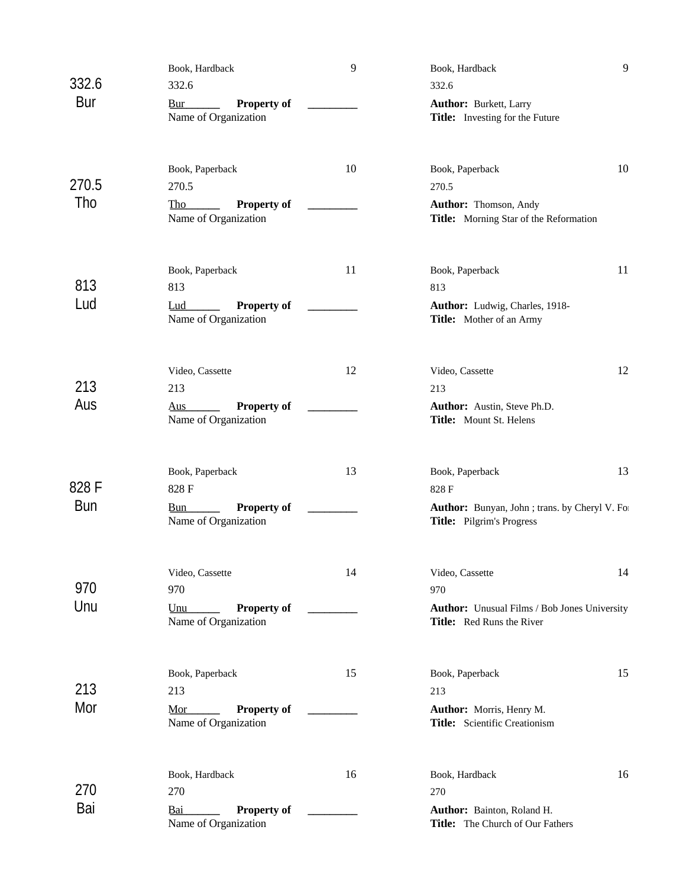|            | Book, Hardback                                                               | 9  | Book, Hardback                                                                       | $\overline{9}$ |
|------------|------------------------------------------------------------------------------|----|--------------------------------------------------------------------------------------|----------------|
| 332.6      | 332.6                                                                        |    | 332.6                                                                                |                |
| Bur        | <b>Property of</b><br>Bur<br>Name of Organization                            |    | <b>Author:</b> Burkett, Larry<br>Title: Investing for the Future                     |                |
| 270.5      | Book, Paperback<br>270.5                                                     | 10 | Book, Paperback<br>270.5                                                             | 10             |
| Tho        | <b>Property of</b><br>Tho<br>Name of Organization                            |    | Author: Thomson, Andy<br>Title: Morning Star of the Reformation                      |                |
| 813        | Book, Paperback<br>813                                                       | 11 | Book, Paperback<br>813                                                               | 11             |
| Lud        | <b>Property of</b><br>Lud<br>Name of Organization                            |    | Author: Ludwig, Charles, 1918-<br>Title: Mother of an Army                           |                |
| 213        | Video, Cassette                                                              | 12 | Video, Cassette                                                                      | 12             |
| Aus        | 213<br><b>Property of</b><br>$\overline{\text{Ans}}$<br>Name of Organization |    | 213<br>Author: Austin, Steve Ph.D.<br>Title: Mount St. Helens                        |                |
| 828 F      | Book, Paperback                                                              | 13 | Book, Paperback                                                                      | 13             |
| <b>Bun</b> | 828 F<br><b>Property of</b><br><b>Bun</b><br>Name of Organization            |    | 828 F<br>Author: Bunyan, John ; trans. by Cheryl V. For<br>Title: Pilgrim's Progress |                |
| 970        | Video, Cassette<br>970                                                       | 14 | Video, Cassette                                                                      | 14             |
| Unu        | <b>Property of</b><br>Unu<br>Name of Organization                            |    | 970<br>Author: Unusual Films / Bob Jones University<br>Title: Red Runs the River     |                |
| 213        | Book, Paperback                                                              | 15 | Book, Paperback                                                                      | 15             |
| Mor        | 213<br><b>Property of</b><br>Mor<br>Name of Organization                     |    | 213<br>Author: Morris, Henry M.<br>Title: Scientific Creationism                     |                |
| 270        | Book, Hardback<br>270                                                        | 16 | Book, Hardback<br>270                                                                | 16             |
| Bai        | Bai<br><b>Property of</b><br>Name of Organization                            |    | Author: Bainton, Roland H.<br>Title: The Church of Our Fathers                       |                |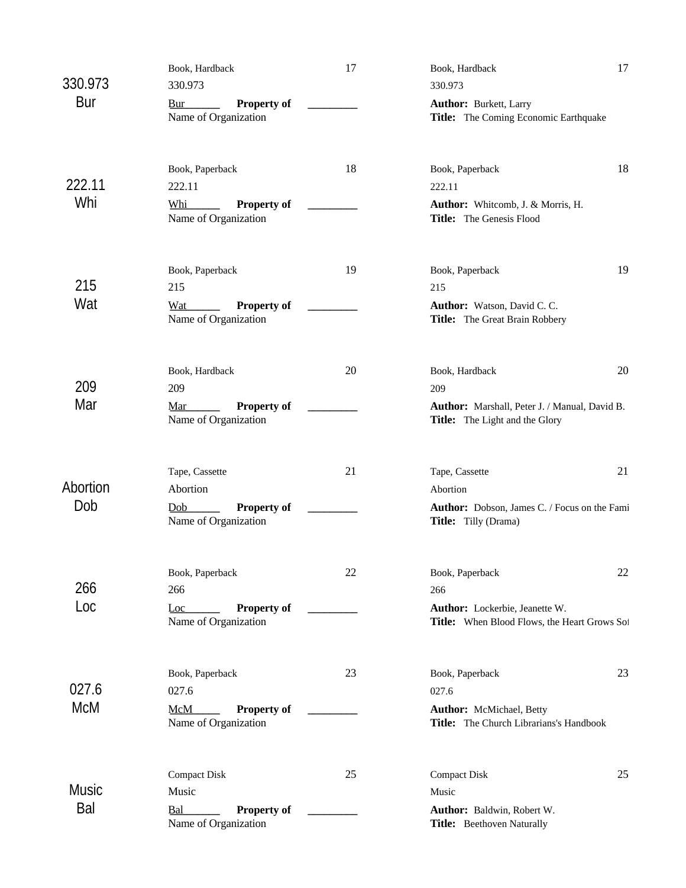|              | Book, Hardback                                           | 17 | Book, Hardback                                                                        | 17 |
|--------------|----------------------------------------------------------|----|---------------------------------------------------------------------------------------|----|
| 330.973      | 330.973                                                  |    | 330.973                                                                               |    |
| Bur          | <b>Property of</b><br><b>Bur</b><br>Name of Organization |    | <b>Author:</b> Burkett, Larry<br>Title: The Coming Economic Earthquake                |    |
| 222.11       | Book, Paperback<br>222.11                                | 18 | Book, Paperback<br>222.11                                                             | 18 |
| Whi          | <b>Property of</b><br>Whi<br>Name of Organization        |    | Author: Whitcomb, J. & Morris, H.<br>Title: The Genesis Flood                         |    |
| 215          | Book, Paperback<br>215                                   | 19 | Book, Paperback<br>215                                                                | 19 |
| Wat          | Property of<br>Wat<br>Name of Organization               |    | Author: Watson, David C. C.<br>Title: The Great Brain Robbery                         |    |
| 209          | Book, Hardback<br>209                                    | 20 | Book, Hardback<br>209                                                                 | 20 |
| Mar          | <b>Property of</b><br>Mar<br>Name of Organization        |    | Author: Marshall, Peter J. / Manual, David B.<br>Title: The Light and the Glory       |    |
| Abortion     | Tape, Cassette<br>Abortion                               | 21 | Tape, Cassette                                                                        | 21 |
| Dob          | Property of<br>Dob<br>Name of Organization               |    | Abortion<br>Author: Dobson, James C. / Focus on the Fami<br>Title: Tilly (Drama)      |    |
| 266          | Book, Paperback                                          | 22 | Book, Paperback                                                                       | 22 |
| Loc          | 266<br><b>Property of</b><br>Loc<br>Name of Organization |    | 266<br>Author: Lockerbie, Jeanette W.<br>Title: When Blood Flows, the Heart Grows Sof |    |
| 027.6        | Book, Paperback<br>027.6                                 | 23 | Book, Paperback<br>027.6                                                              | 23 |
| McM          | <b>McM</b><br><b>Property of</b><br>Name of Organization |    | Author: McMichael, Betty<br>Title: The Church Librarians's Handbook                   |    |
|              | <b>Compact Disk</b>                                      | 25 | <b>Compact Disk</b>                                                                   | 25 |
| Music<br>Bal | Music<br>Property of<br>Bal<br>Name of Organization      |    | Music<br>Author: Baldwin, Robert W.<br>Title: Beethoven Naturally                     |    |